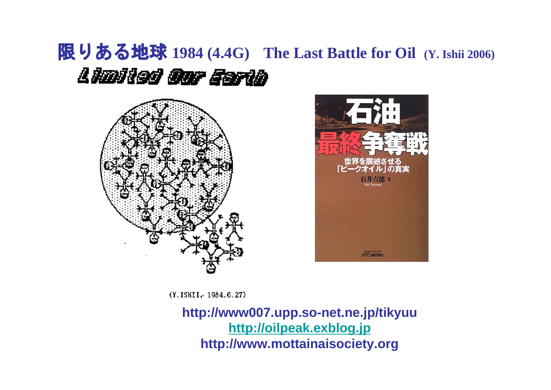# 限りある地球 **1984 (4.4G) The Last Battle for Oil (Y. Ishii 2006)**Lladied Our Earla





(Y. ISHII. 1984.6.27)

**http://www007.upp.so-net.ne.jp/tikyuu [http://oilpeak.exblog.jp](http://oilpeak.exblog.jp/) http://www.mottainaisociety.org**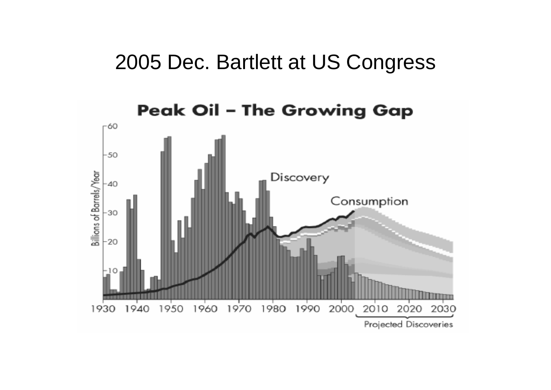## 2005 Dec. Bartlett at US Congress

## **Peak Oil - The Growing Gap**

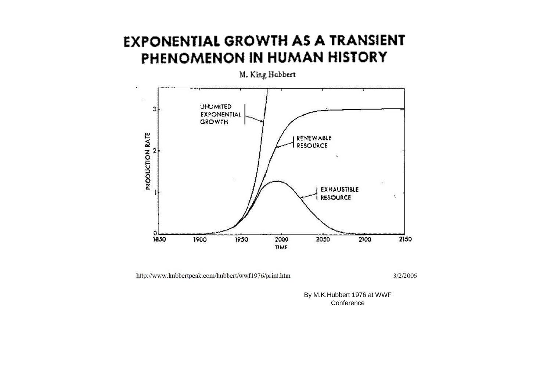### **EXPONENTIAL GROWTH AS A TRANSIENT** PHENOMENON IN HUMAN HISTORY



M. King Habbert

http://www.hubbertpeak.com/hubbert/wwf1976/print.htm

3/2/2006

By M.K.Hubbert 1976 at WWF **Conference**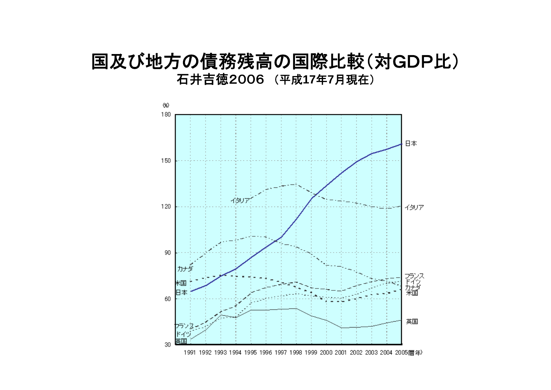## 国及び地方の債務残高の国際比較(対GDP比) 石井吉徳2006 (平成**17** 年 **7**月現在)

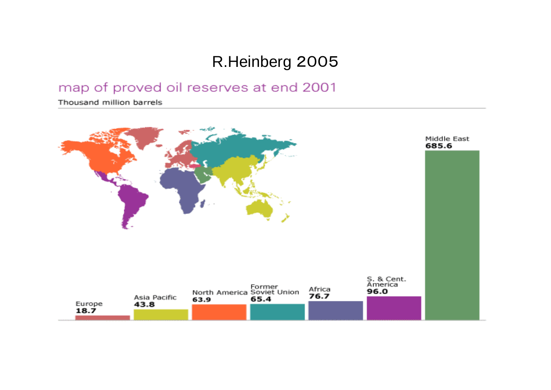## R.Heinberg 2005

### map of proved oil reserves at end 2001

Thousand million barrels

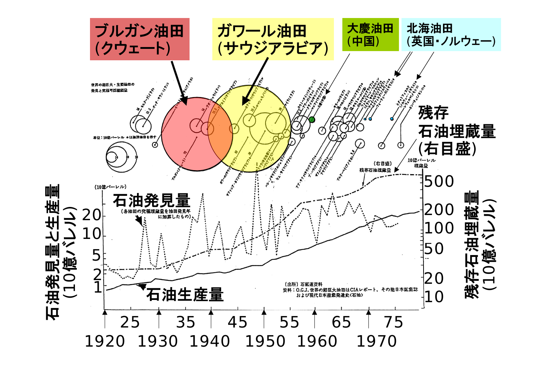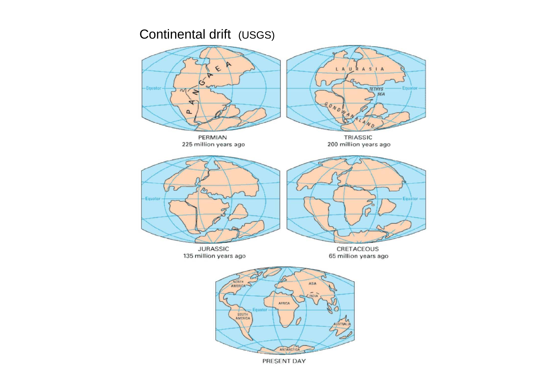### Continental drift (USGS)



PRESENT DAY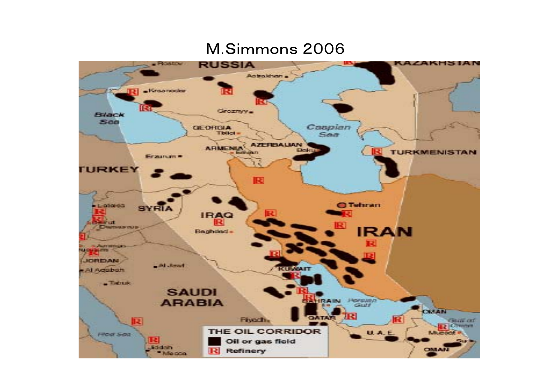### M.Simmons 2006

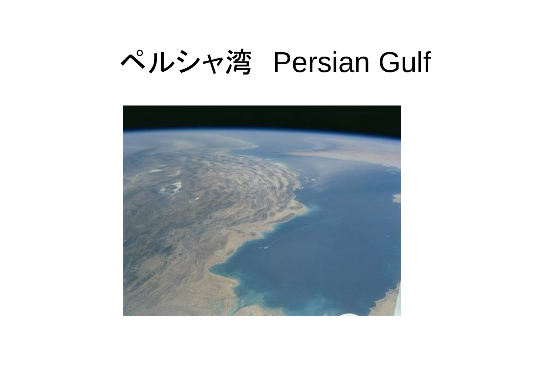# ペルシャ湾 Persian Gulf

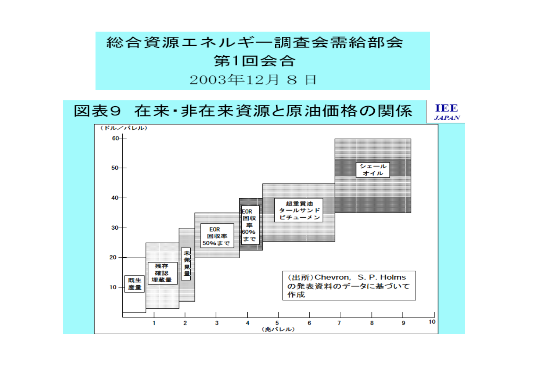## 総合資源エネルギー調査会需給部会 第1回会合 2003年12月8日

#### **TEE** 図表9 在来·非在来資源と原油価格の関係

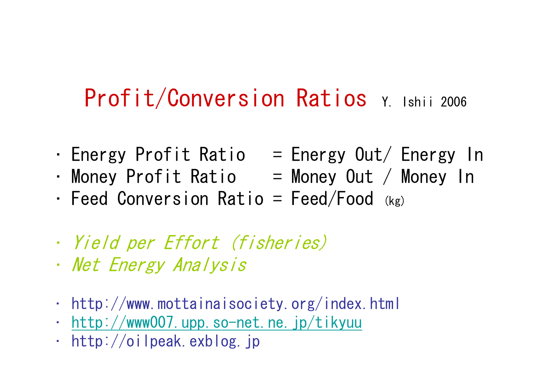# Profit/Conversion Ratios Y. Ishii 2006

- Energy Profit Ratio  $=$  Energy Out/ Energy In
- •Money Profit Ratio = Money Out / Money In
- •Feed Conversion Ratio =  $Feed/Food$  (kg)
- •Yield per Effort (fisheries)
- •Net Energy Analysis
- •http://www.mottainaisociety.org/index.html
- •<http://www007.upp.so-net.ne.jp/tikyuu>
- •http://oilpeak.exblog.jp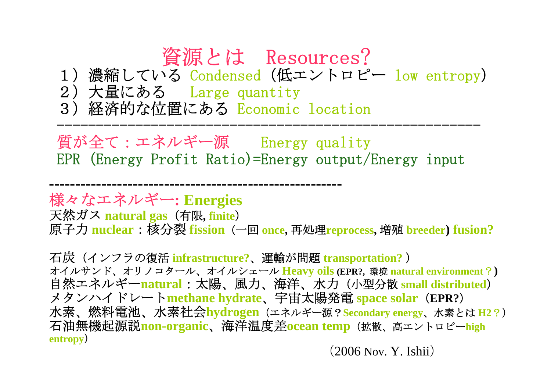# 資源とは Resources?

1)濃縮している Condensed(低エントロピー low entropy )

2)大量にある Large quantity

**--------------------------------------------------------**

3)経済的な位置にある Economic location

質が全て:エネルギー源 Energy quality EPR (Energy Profit Ratio)=Energy output/Energy input

------------------------------------------------------

様々なエネルギー**: Energies** 天然ガス **natural gas**(有限**, finite** ) 原子力 **nuclear**:核分裂 **fission**(一回 **once,** 再処理**reprocess,** 増殖 **breeder) fusion?**

石炭(インフラの復活 **infrastructure?**、運輸が問題 **transportation?** ) オイルサンド、オリノコタール、オイルシェール **Heavy oils (EPR?,** 環境 **natural environment** ? **)** 自然エネルギー**natural**:太陽、風力、海洋、水力(小型分散 **small distributed** ) メタンハイドレート**methane hydrate**、宇宙太陽発電 **space solar** (**EPR?** ) 水素、燃料電池、水素社会**hydrogen**(エネルギー源?**Secondary energy**、水素とは **H2** ?) 石油無機起源説**non-organic**、海洋温度差**ocean temp**(拡散、高エントロピー**high entropy**)

(2006 Nov. Y. Ishii )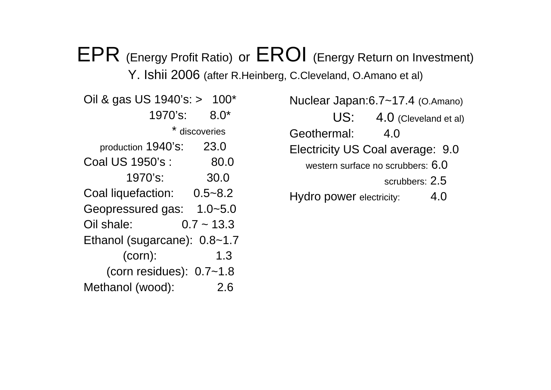# EPR (Energy Profit Ratio) or EROI (Energy Return on Investment)

Y. Ishii 2006 (after R.Heinberg, C.Cleveland, O.Amano et al)

| Oil & gas US 1940's: > 100*  |              |
|------------------------------|--------------|
| 1970's:                      | $8.0*$       |
| * discoveries                |              |
| production 1940's:           | 23.0         |
| Coal US 1950's :             | 80.0         |
| 1970's:                      | 30.0         |
| Coal liquefaction: 0.5~8.2   |              |
| Geopressured gas: 1.0~5.0    |              |
| Oil shale:                   | $0.7 - 13.3$ |
| Ethanol (sugarcane): 0.8~1.7 |              |
| $(corn)$ :                   | 1.3          |
| (corn residues): $0.7 - 1.8$ |              |
| Methanol (wood):             | 2.6          |

Nuclear Japan:6.7~17.4 (O.Amano)

US: 4.0 (Cleveland et al)

Geothermal: 4.0

Electricity US Coal average: 9.0

western surface no scrubbers:  $6.0\,$ 

scrubbers: 2.5

Hydro power electricity: 4.0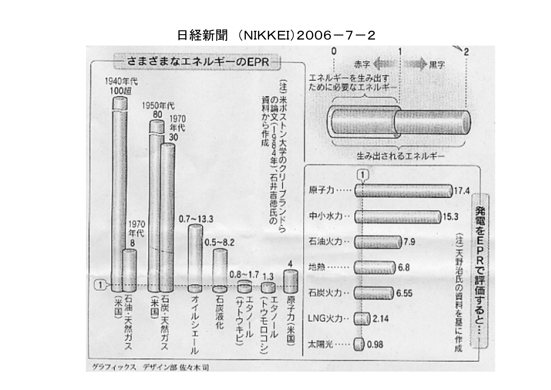日経新聞 (NIKKEI) 2006-7-2



グラフィックス デザイン部 佐々木司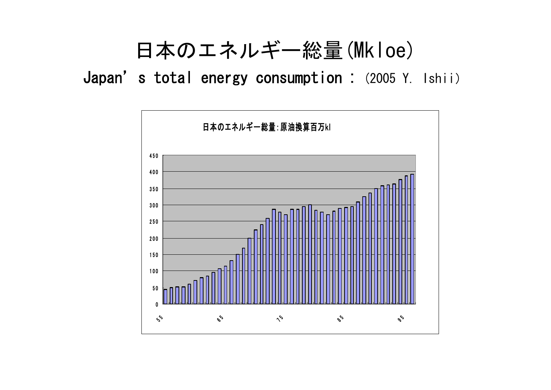# 日本のエネルギー総量(Mkloe)

Japan's total energy consumption:(2005 Y. Ishii)

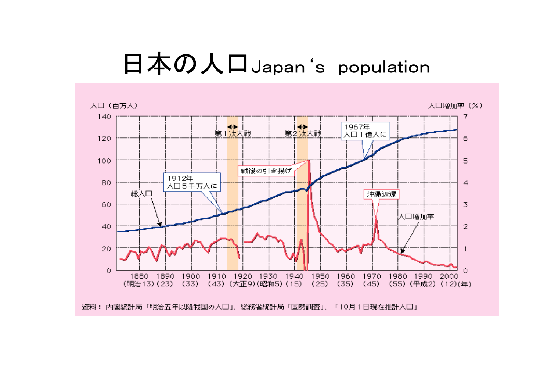# 日本の人口Japan's population

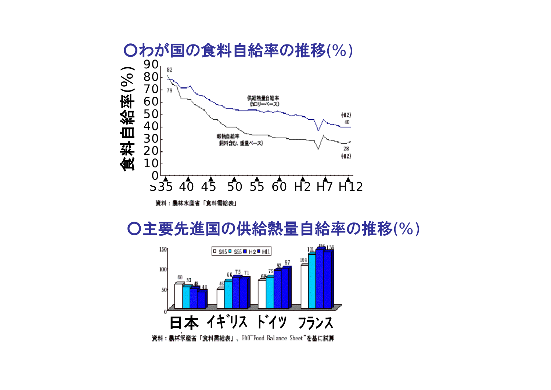

○主要先進国の供給熱量自給率の推移(%)

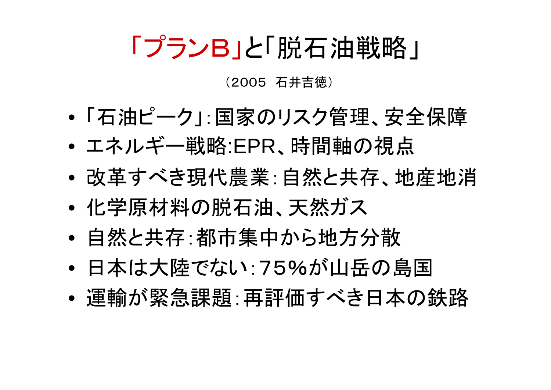# 「プランB」と「脱石油戦略」

## (2005 石井吉徳)

- •「石油ピーク」:国家のリスク管理、安全保障
- •エネルギー戦略:EPR、時間軸の視点
- •● 改革すべき現代農業:自然と共存、地産地消
- •化学原材料の脱石油、天然ガス
- •自然と共存:都市集中から地方分散
- •日本は大陸でない:75%が山岳の島国
- •運輸が緊急課題:再評価すべき日本の鉄路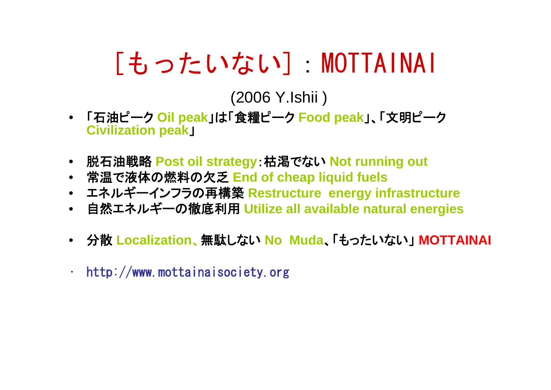# [もったいない]:MOTTAINAI

(2006 Y.Ishii )

- 「石油ピーク **Oil peak**」は「食糧ピーク **Food peak**」、「文明ピーク **Civilization peak** 」
- 脱石油戦略 **Post oil strategy**:枯渇でない **Not running out**
- 常温で液体の燃料の欠乏 **End of cheap liquid fuels**
- エネルギーインフラの再構築 **Restructure energy infrastructure**
- 自然エネルギーの徹底利用 **Utilize all available natural energies**
- 分散 **Localization** 、無駄しない **No Muda**、「もったいない」 **MOTTAINAI**
- •http://www.mottainaisociety.org